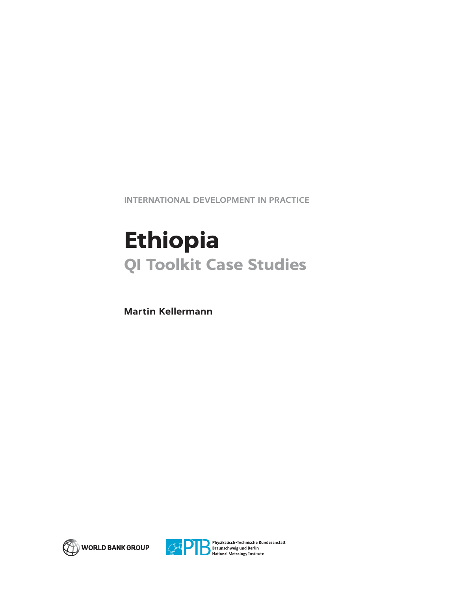**INTERNATIONAL DEVELOPMENT IN PRACTICE**

# **Ethiopia QI Toolkit Case Studies**

**Martin Kellermann**





Physikalisch-Technische Bundesanstalt Braunschweig und Berlin<br>National Metrology Institute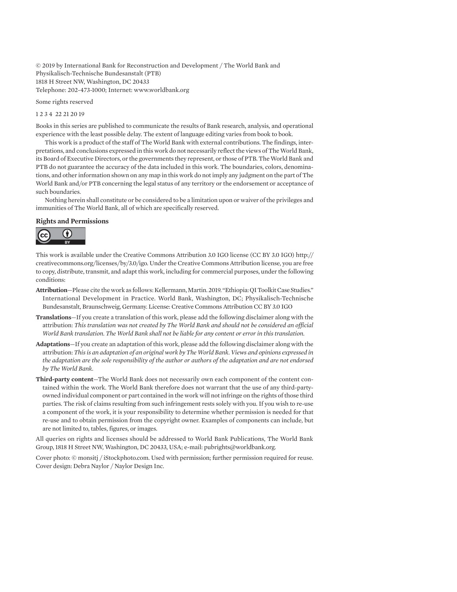© 2019 by International Bank for Reconstruction and Development / The World Bank and Physikalisch-Technische Bundesanstalt (PTB) 1818 H Street NW, Washington, DC 20433 Telephone: 202-473-1000; Internet: www.worldbank.org

Some rights reserved

1 2 3 4 22 21 20 19

Books in this series are published to communicate the results of Bank research, analysis, and operational experience with the least possible delay. The extent of language editing varies from book to book.

This work is a product of the staff of The World Bank with external contributions. The findings, interpretations, and conclusions expressed in this work do not necessarily reflect the views of The World Bank, its Board of Executive Directors, or the governments they represent, or those of PTB. The World Bank and PTB do not guarantee the accuracy of the data included in this work. The boundaries, colors, denominations, and other information shown on any map in this work do not imply any judgment on the part of The World Bank and/or PTB concerning the legal status of any territory or the endorsement or acceptance of such boundaries.

Nothing herein shall constitute or be considered to be a limitation upon or waiver of the privileges and immunities of The World Bank, all of which are specifically reserved.

#### **Rights and Permissions**



This work is available under the Creative Commons Attribution 3.0 IGO license (CC BY 3.0 IGO) http:// creativecommons.org/licenses/by/3.0/igo. Under the Creative Commons Attribution license, you are free to copy, distribute, transmit, and adapt this work, including for commercial purposes, under the following conditions:

- **Attribution**—Please cite the work as follows: Kellermann, Martin. 2019. "Ethiopia: QI Toolkit Case Studies." International Development in Practice. World Bank, Washington, DC; Physikalisch-Technische Bundesanstalt, Braunschweig, Germany. License: Creative Commons Attribution CC BY 3.0 IGO
- **Translations**—If you create a translation of this work, please add the following disclaimer along with the attribution: *This translation was not created by The World Bank and should not be considered an official World Bank translation. The World Bank shall not be liable for any content or error in this translation.*
- **Adaptations**—If you create an adaptation of this work, please add the following disclaimer along with the attribution: *This is an adaptation of an original work by The World Bank. Views and opinions expressed in the adaptation are the sole responsibility of the author or authors of the adaptation and are not endorsed by The World Bank.*
- **Third-party content**—The World Bank does not necessarily own each component of the content contained within the work. The World Bank therefore does not warrant that the use of any third-partyowned individual component or part contained in the work will not infringe on the rights of those third parties. The risk of claims resulting from such infringement rests solely with you. If you wish to re-use a component of the work, it is your responsibility to determine whether permission is needed for that re-use and to obtain permission from the copyright owner. Examples of components can include, but are not limited to, tables, figures, or images.

All queries on rights and licenses should be addressed to World Bank Publications, The World Bank Group, 1818 H Street NW, Washington, DC 20433, USA; e-mail: pubrights@worldbank.org.

Cover photo: © monsitj / iStockphoto.com. Used with permission; further permission required for reuse. Cover design: Debra Naylor / Naylor Design Inc.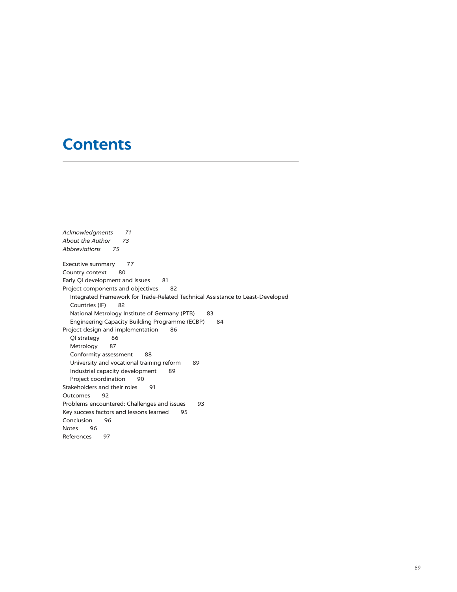## **Contents**

*Acknowledgments 71 About the Author 73 Abbreviations 75* Executive summary 77 Country context 80 Early QI development and issues 81 Project components and objectives 82 Integrated Framework for Trade-Related Technical Assistance to Least-Developed Countries (IF) 82 National Metrology Institute of Germany (PTB) 83 Engineering Capacity Building Programme (ECBP) 84 Project design and implementation 86 QI strategy 86 Metrology 87 Conformity assessment 88 University and vocational training reform 89 Industrial capacity development 89 Project coordination 90 Stakeholders and their roles 91 Outcomes 92 Problems encountered: Challenges and issues 93 Key success factors and lessons learned 95 Conclusion 96 Notes 96 References 97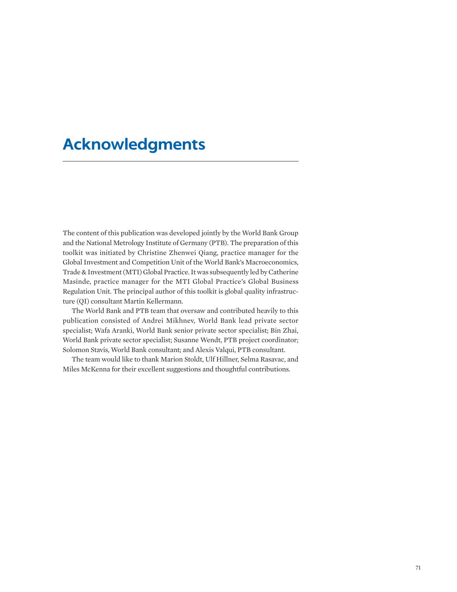## **Acknowledgments**

The content of this publication was developed jointly by the World Bank Group and the National Metrology Institute of Germany (PTB). The preparation of this toolkit was initiated by Christine Zhenwei Qiang, practice manager for the Global Investment and Competition Unit of the World Bank's Macroeconomics, Trade & Investment (MTI) Global Practice. It was subsequently led by Catherine Masinde, practice manager for the MTI Global Practice's Global Business Regulation Unit. The principal author of this toolkit is global quality infrastructure (QI) consultant Martin Kellermann.

The World Bank and PTB team that oversaw and contributed heavily to this publication consisted of Andrei Mikhnev, World Bank lead private sector specialist; Wafa Aranki, World Bank senior private sector specialist; Bin Zhai, World Bank private sector specialist; Susanne Wendt, PTB project coordinator; Solomon Stavis, World Bank consultant; and Alexis Valqui, PTB consultant.

The team would like to thank Marion Stoldt, Ulf Hillner, Selma Rasavac, and Miles McKenna for their excellent suggestions and thoughtful contributions.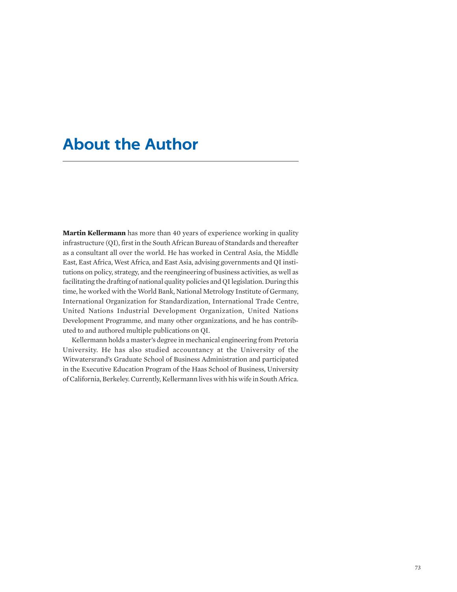### **About the Author**

**Martin Kellermann** has more than 40 years of experience working in quality infrastructure (QI), first in the South African Bureau of Standards and thereafter as a consultant all over the world. He has worked in Central Asia, the Middle East, East Africa, West Africa, and East Asia, advising governments and QI institutions on policy, strategy, and the reengineering of business activities, as well as facilitating the drafting of national quality policies and QI legislation. During this time, he worked with the World Bank, National Metrology Institute of Germany, International Organization for Standardization, International Trade Centre, United Nations Industrial Development Organization, United Nations Development Programme, and many other organizations, and he has contributed to and authored multiple publications on QI.

Kellermann holds a master's degree in mechanical engineering from Pretoria University. He has also studied accountancy at the University of the Witwatersrand's Graduate School of Business Administration and participated in the Executive Education Program of the Haas School of Business, University of California, Berkeley. Currently, Kellermann lives with his wife in South Africa.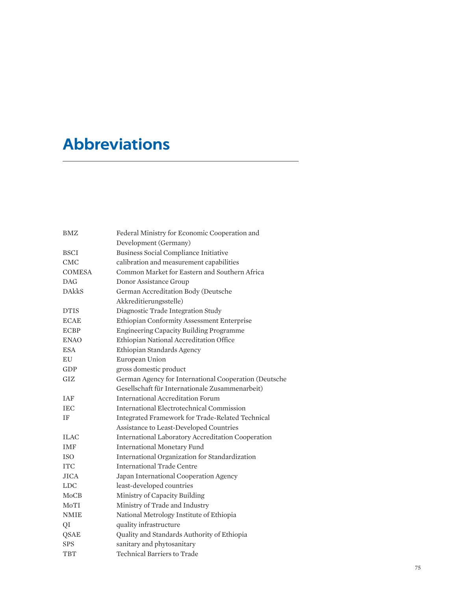## **Abbreviations**

| <b>BMZ</b>    | Federal Ministry for Economic Cooperation and             |  |
|---------------|-----------------------------------------------------------|--|
|               | Development (Germany)                                     |  |
| <b>BSCI</b>   | Business Social Compliance Initiative                     |  |
| <b>CMC</b>    | calibration and measurement capabilities                  |  |
| <b>COMESA</b> | Common Market for Eastern and Southern Africa             |  |
| DAG           | Donor Assistance Group                                    |  |
| <b>DAkkS</b>  | German Accreditation Body (Deutsche                       |  |
|               | Akkreditierungsstelle)                                    |  |
| <b>DTIS</b>   | Diagnostic Trade Integration Study                        |  |
| <b>ECAE</b>   | Ethiopian Conformity Assessment Enterprise                |  |
| <b>ECBP</b>   | Engineering Capacity Building Programme                   |  |
| <b>ENAO</b>   | Ethiopian National Accreditation Office                   |  |
| <b>ESA</b>    | Ethiopian Standards Agency                                |  |
| EU            | European Union                                            |  |
| GDP           | gross domestic product                                    |  |
| GIZ           | German Agency for International Cooperation (Deutsche     |  |
|               | Gesellschaft für Internationale Zusammenarbeit)           |  |
| IAF           | <b>International Accreditation Forum</b>                  |  |
| <b>IEC</b>    | International Electrotechnical Commission                 |  |
| ΙF            | Integrated Framework for Trade-Related Technical          |  |
|               | Assistance to Least-Developed Countries                   |  |
| <b>ILAC</b>   | <b>International Laboratory Accreditation Cooperation</b> |  |
| <b>IMF</b>    | <b>International Monetary Fund</b>                        |  |
| <b>ISO</b>    | International Organization for Standardization            |  |
| <b>ITC</b>    | <b>International Trade Centre</b>                         |  |
| <b>JICA</b>   | Japan International Cooperation Agency                    |  |
| <b>LDC</b>    | least-developed countries                                 |  |
| <b>MoCB</b>   | Ministry of Capacity Building                             |  |
| MoTI          | Ministry of Trade and Industry                            |  |
| <b>NMIE</b>   | National Metrology Institute of Ethiopia                  |  |
| QI            | quality infrastructure                                    |  |
| QSAE          | Quality and Standards Authority of Ethiopia               |  |
| <b>SPS</b>    | sanitary and phytosanitary                                |  |
| TBT           | Technical Barriers to Trade                               |  |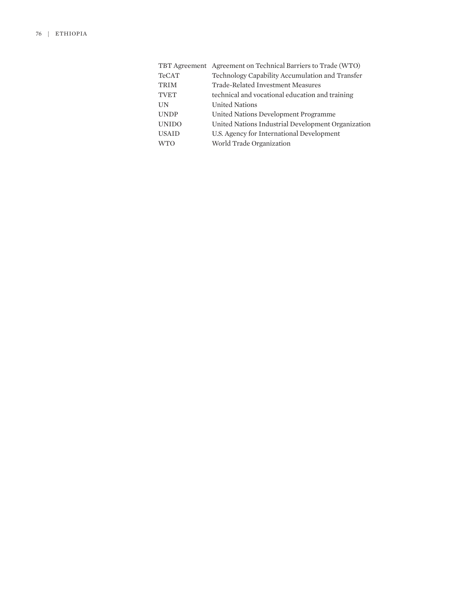|              | TBT Agreement Agreement on Technical Barriers to Trade (WTO) |  |
|--------------|--------------------------------------------------------------|--|
| <b>TeCAT</b> | Technology Capability Accumulation and Transfer              |  |
| <b>TRIM</b>  | Trade-Related Investment Measures                            |  |
| <b>TVET</b>  | technical and vocational education and training              |  |
| UN           | <b>United Nations</b>                                        |  |
| <b>UNDP</b>  | United Nations Development Programme                         |  |
| <b>UNIDO</b> | United Nations Industrial Development Organization           |  |
| <b>USAID</b> | U.S. Agency for International Development                    |  |
| <b>WTO</b>   | World Trade Organization                                     |  |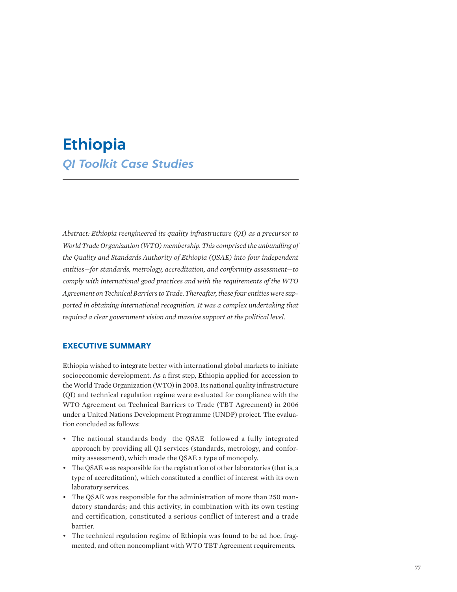## **Ethiopia** *QI Toolkit Case Studies*

*Abstract: Ethiopia reengineered its quality infrastructure (QI) as a precursor to World Trade Organization (WTO) membership. This comprised the unbundling of the Quality and Standards Authority of Ethiopia (QSAE) into four independent entities—for standards, metrology, accreditation, and conformity assessment—to comply with international good practices and with the requirements of the WTO Agreement on Technical Barriers to Trade. Thereafter, these four entities were supported in obtaining international recognition. It was a complex undertaking that required a clear government vision and massive support at the political level.*

#### **EXECUTIVE SUMMARY**

Ethiopia wished to integrate better with international global markets to initiate socioeconomic development. As a first step, Ethiopia applied for accession to the World Trade Organization (WTO) in 2003. Its national quality infrastructure (QI) and technical regulation regime were evaluated for compliance with the WTO Agreement on Technical Barriers to Trade (TBT Agreement) in 2006 under a United Nations Development Programme (UNDP) project. The evaluation concluded as follows:

- The national standards body—the QSAE—followed a fully integrated approach by providing all QI services (standards, metrology, and conformity assessment), which made the QSAE a type of monopoly.
- The QSAE was responsible for the registration of other laboratories (that is, a type of accreditation), which constituted a conflict of interest with its own laboratory services.
- The QSAE was responsible for the administration of more than 250 mandatory standards; and this activity, in combination with its own testing and certification, constituted a serious conflict of interest and a trade barrier.
- The technical regulation regime of Ethiopia was found to be ad hoc, fragmented, and often noncompliant with WTO TBT Agreement requirements.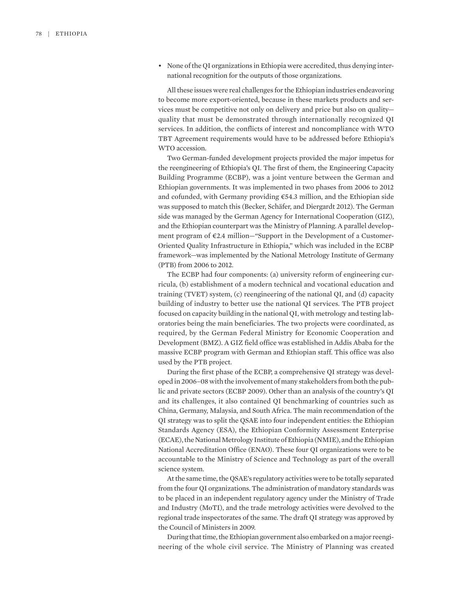• None of the QI organizations in Ethiopia were accredited, thus denying international recognition for the outputs of those organizations.

All these issues were real challenges for the Ethiopian industries endeavoring to become more export-oriented, because in these markets products and services must be competitive not only on delivery and price but also on quality quality that must be demonstrated through internationally recognized QI services. In addition, the conflicts of interest and noncompliance with WTO TBT Agreement requirements would have to be addressed before Ethiopia's WTO accession.

Two German-funded development projects provided the major impetus for the reengineering of Ethiopia's QI. The first of them, the Engineering Capacity Building Programme (ECBP), was a joint venture between the German and Ethiopian governments. It was implemented in two phases from 2006 to 2012 and cofunded, with Germany providing €54.3 million, and the Ethiopian side was supposed to match this (Becker, Schäfer, and Diergardt 2012). The German side was managed by the German Agency for International Cooperation (GIZ), and the Ethiopian counterpart was the Ministry of Planning. A parallel development program of €2.4 million—"Support in the Development of a Customer-Oriented Quality Infrastructure in Ethiopia," which was included in the ECBP framework—was implemented by the National Metrology Institute of Germany (PTB) from 2006 to 2012.

The ECBP had four components: (a) university reform of engineering curricula, (b) establishment of a modern technical and vocational education and training (TVET) system, (c) reengineering of the national QI, and (d) capacity building of industry to better use the national QI services. The PTB project focused on capacity building in the national QI, with metrology and testing laboratories being the main beneficiaries. The two projects were coordinated, as required, by the German Federal Ministry for Economic Cooperation and Development (BMZ). A GIZ field office was established in Addis Ababa for the massive ECBP program with German and Ethiopian staff. This office was also used by the PTB project.

During the first phase of the ECBP, a comprehensive QI strategy was developed in 2006–08 with the involvement of many stakeholders from both the public and private sectors (ECBP 2009). Other than an analysis of the country's QI and its challenges, it also contained QI benchmarking of countries such as China, Germany, Malaysia, and South Africa. The main recommendation of the QI strategy was to split the QSAE into four independent entities: the Ethiopian Standards Agency (ESA), the Ethiopian Conformity Assessment Enterprise (ECAE), the National Metrology Institute of Ethiopia (NMIE), and the Ethiopian National Accreditation Office (ENAO). These four QI organizations were to be accountable to the Ministry of Science and Technology as part of the overall science system.

At the same time, the QSAE's regulatory activities were to be totally separated from the four QI organizations. The administration of mandatory standards was to be placed in an independent regulatory agency under the Ministry of Trade and Industry (MoTI), and the trade metrology activities were devolved to the regional trade inspectorates of the same. The draft QI strategy was approved by the Council of Ministers in 2009.

During that time, the Ethiopian government also embarked on a major reengineering of the whole civil service. The Ministry of Planning was created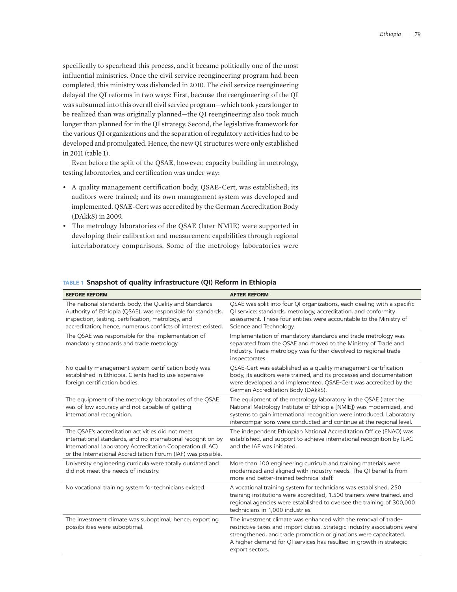specifically to spearhead this process, and it became politically one of the most influential ministries. Once the civil service reengineering program had been completed, this ministry was disbanded in 2010. The civil service reengineering delayed the QI reforms in two ways: First, because the reengineering of the QI was subsumed into this overall civil service program—which took years longer to be realized than was originally planned—the QI reengineering also took much longer than planned for in the QI strategy. Second, the legislative framework for the various QI organizations and the separation of regulatory activities had to be developed and promulgated. Hence, the new QI structures were only established in 2011 (table 1).

Even before the split of the QSAE, however, capacity building in metrology, testing laboratories, and certification was under way:

- A quality management certification body, QSAE-Cert, was established; its auditors were trained; and its own management system was developed and implemented. QSAE-Cert was accredited by the German Accreditation Body (DAkkS) in 2009.
- The metrology laboratories of the QSAE (later NMIE) were supported in developing their calibration and measurement capabilities through regional interlaboratory comparisons. Some of the metrology laboratories were

| <b>BEFORE REFORM</b>                                                                                                                                                                                                                          | <b>AFTER REFORM</b>                                                                                                                                                                                                                                                                                       |
|-----------------------------------------------------------------------------------------------------------------------------------------------------------------------------------------------------------------------------------------------|-----------------------------------------------------------------------------------------------------------------------------------------------------------------------------------------------------------------------------------------------------------------------------------------------------------|
| The national standards body, the Quality and Standards<br>Authority of Ethiopia (QSAE), was responsible for standards,<br>inspection, testing, certification, metrology, and<br>accreditation; hence, numerous conflicts of interest existed. | QSAE was split into four QI organizations, each dealing with a specific<br>QI service: standards, metrology, accreditation, and conformity<br>assessment. These four entities were accountable to the Ministry of<br>Science and Technology.                                                              |
| The QSAE was responsible for the implementation of<br>mandatory standards and trade metrology.                                                                                                                                                | Implementation of mandatory standards and trade metrology was<br>separated from the QSAE and moved to the Ministry of Trade and<br>Industry. Trade metrology was further devolved to regional trade<br>inspectorates.                                                                                     |
| No quality management system certification body was<br>established in Ethiopia. Clients had to use expensive<br>foreign certification bodies.                                                                                                 | QSAE-Cert was established as a quality management certification<br>body, its auditors were trained, and its processes and documentation<br>were developed and implemented. QSAE-Cert was accredited by the<br>German Accreditation Body (DAkkS).                                                          |
| The equipment of the metrology laboratories of the QSAE<br>was of low accuracy and not capable of getting<br>international recognition.                                                                                                       | The equipment of the metrology laboratory in the QSAE (later the<br>National Metrology Institute of Ethiopia [NMIE]) was modernized, and<br>systems to gain international recognition were introduced. Laboratory<br>intercomparisons were conducted and continue at the regional level.                  |
| The QSAE's accreditation activities did not meet<br>international standards, and no international recognition by<br>International Laboratory Accreditation Cooperation (ILAC)<br>or the International Accreditation Forum (IAF) was possible. | The independent Ethiopian National Accreditation Office (ENAO) was<br>established, and support to achieve international recognition by ILAC<br>and the IAF was initiated.                                                                                                                                 |
| University engineering curricula were totally outdated and<br>did not meet the needs of industry.                                                                                                                                             | More than 100 engineering curricula and training materials were<br>modernized and aligned with industry needs. The QI benefits from<br>more and better-trained technical staff.                                                                                                                           |
| No vocational training system for technicians existed.                                                                                                                                                                                        | A vocational training system for technicians was established, 250<br>training institutions were accredited, 1,500 trainers were trained, and<br>regional agencies were established to oversee the training of 300,000<br>technicians in 1,000 industries.                                                 |
| The investment climate was suboptimal; hence, exporting<br>possibilities were suboptimal.                                                                                                                                                     | The investment climate was enhanced with the removal of trade-<br>restrictive taxes and import duties. Strategic industry associations were<br>strengthened, and trade promotion originations were capacitated.<br>A higher demand for QI services has resulted in growth in strategic<br>export sectors. |

#### **TABLE 1 Snapshot of quality infrastructure (QI) Reform in Ethiopia**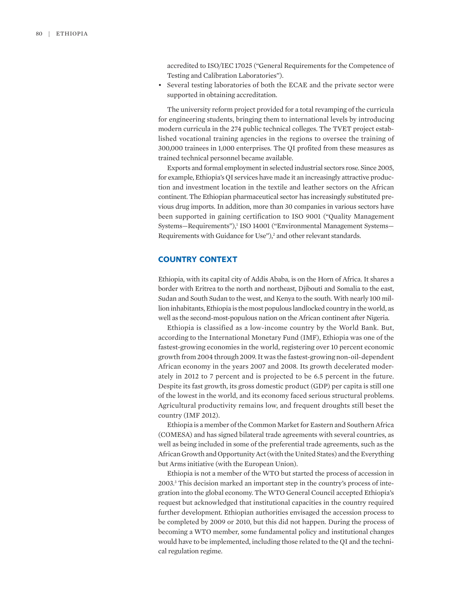accredited to ISO/IEC 17025 ("General Requirements for the Competence of Testing and Calibration Laboratories").

• Several testing laboratories of both the ECAE and the private sector were supported in obtaining accreditation.

The university reform project provided for a total revamping of the curricula for engineering students, bringing them to international levels by introducing modern curricula in the 274 public technical colleges. The TVET project established vocational training agencies in the regions to oversee the training of 300,000 trainees in 1,000 enterprises. The QI profited from these measures as trained technical personnel became available.

Exports and formal employment in selected industrial sectors rose. Since 2005, for example, Ethiopia's QI services have made it an increasingly attractive production and investment location in the textile and leather sectors on the African continent. The Ethiopian pharmaceutical sector has increasingly substituted previous drug imports. In addition, more than 30 companies in various sectors have been supported in gaining certification to ISO 9001 ("Quality Management Systems-Requirements"),<sup>1</sup> ISO 14001 ("Environmental Management Systems-Requirements with Guidance for Use"),<sup>2</sup> and other relevant standards.

#### **COUNTRY CONTEXT**

Ethiopia, with its capital city of Addis Ababa, is on the Horn of Africa. It shares a border with Eritrea to the north and northeast, Djibouti and Somalia to the east, Sudan and South Sudan to the west, and Kenya to the south. With nearly 100 million inhabitants, Ethiopia is the most populous landlocked country in the world, as well as the second-most-populous nation on the African continent after Nigeria.

Ethiopia is classified as a low-income country by the World Bank. But, according to the International Monetary Fund (IMF), Ethiopia was one of the fastest-growing economies in the world, registering over 10 percent economic growth from 2004 through 2009. It was the fastest-growing non-oil-dependent African economy in the years 2007 and 2008. Its growth decelerated moderately in 2012 to 7 percent and is projected to be 6.5 percent in the future. Despite its fast growth, its gross domestic product (GDP) per capita is still one of the lowest in the world, and its economy faced serious structural problems. Agricultural productivity remains low, and frequent droughts still beset the country (IMF 2012).

Ethiopia is a member of the Common Market for Eastern and Southern Africa (COMESA) and has signed bilateral trade agreements with several countries, as well as being included in some of the preferential trade agreements, such as the African Growth and Opportunity Act (with the United States) and the Everything but Arms initiative (with the European Union).

Ethiopia is not a member of the WTO but started the process of accession in 2003.3 This decision marked an important step in the country's process of integration into the global economy. The WTO General Council accepted Ethiopia's request but acknowledged that institutional capacities in the country required further development. Ethiopian authorities envisaged the accession process to be completed by 2009 or 2010, but this did not happen. During the process of becoming a WTO member, some fundamental policy and institutional changes would have to be implemented, including those related to the QI and the technical regulation regime.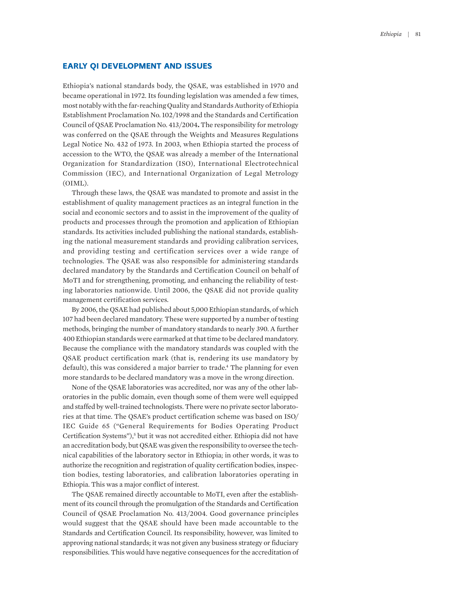#### **EARLY QI DEVELOPMENT AND ISSUES**

Ethiopia's national standards body, the QSAE, was established in 1970 and became operational in 1972. Its founding legislation was amended a few times, most notably with the far-reaching Quality and Standards Authority of Ethiopia Establishment Proclamation No. 102/1998 and the Standards and Certification Council of QSAE Proclamation No. 413/2004**.** The responsibility for metrology was conferred on the QSAE through the Weights and Measures Regulations Legal Notice No. 432 of 1973. In 2003, when Ethiopia started the process of accession to the WTO, the QSAE was already a member of the International Organization for Standardization (ISO), International Electrotechnical Commission (IEC), and International Organization of Legal Metrology (OIML).

Through these laws, the QSAE was mandated to promote and assist in the establishment of quality management practices as an integral function in the social and economic sectors and to assist in the improvement of the quality of products and processes through the promotion and application of Ethiopian standards. Its activities included publishing the national standards, establishing the national measurement standards and providing calibration services, and providing testing and certification services over a wide range of technologies. The QSAE was also responsible for administering standards declared mandatory by the Standards and Certification Council on behalf of MoTI and for strengthening, promoting, and enhancing the reliability of testing laboratories nationwide. Until 2006, the QSAE did not provide quality management certification services.

By 2006, the QSAE had published about 5,000 Ethiopian standards, of which 107 had been declared mandatory. These were supported by a number of testing methods, bringing the number of mandatory standards to nearly 390. A further 400 Ethiopian standards were earmarked at that time to be declared mandatory. Because the compliance with the mandatory standards was coupled with the QSAE product certification mark (that is, rendering its use mandatory by default), this was considered a major barrier to trade.<sup>4</sup> The planning for even more standards to be declared mandatory was a move in the wrong direction.

None of the QSAE laboratories was accredited, nor was any of the other laboratories in the public domain, even though some of them were well equipped and staffed by well-trained technologists. There were no private sector laboratories at that time. The QSAE's product certification scheme was based on ISO/ IEC Guide 65 ("General Requirements for Bodies Operating Product Certification Systems"),<sup>5</sup> but it was not accredited either. Ethiopia did not have an accreditation body, but QSAE was given the responsibility to oversee the technical capabilities of the laboratory sector in Ethiopia; in other words, it was to authorize the recognition and registration of quality certification bodies, inspection bodies, testing laboratories, and calibration laboratories operating in Ethiopia. This was a major conflict of interest.

The QSAE remained directly accountable to MoTI, even after the establishment of its council through the promulgation of the Standards and Certification Council of QSAE Proclamation No. 413/2004. Good governance principles would suggest that the QSAE should have been made accountable to the Standards and Certification Council. Its responsibility, however, was limited to approving national standards; it was not given any business strategy or fiduciary responsibilities. This would have negative consequences for the accreditation of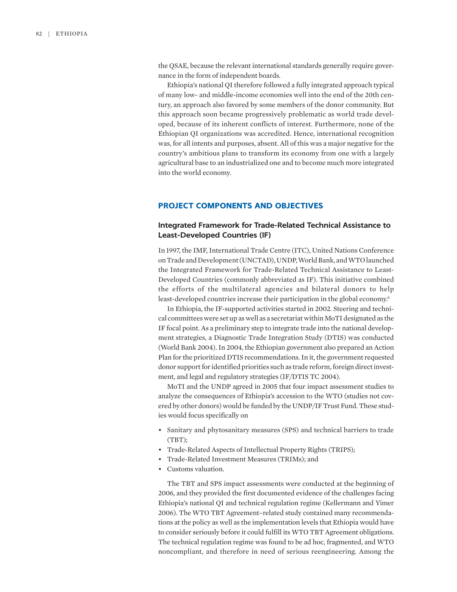the QSAE, because the relevant international standards generally require governance in the form of independent boards.

Ethiopia's national QI therefore followed a fully integrated approach typical of many low- and middle-income economies well into the end of the 20th century, an approach also favored by some members of the donor community. But this approach soon became progressively problematic as world trade developed, because of its inherent conflicts of interest. Furthermore, none of the Ethiopian QI organizations was accredited. Hence, international recognition was, for all intents and purposes, absent. All of this was a major negative for the country's ambitious plans to transform its economy from one with a largely agricultural base to an industrialized one and to become much more integrated into the world economy.

#### **PROJECT COMPONENTS AND OBJECTIVES**

#### **Integrated Framework for Trade-Related Technical Assistance to Least-Developed Countries (IF)**

In 1997, the IMF, International Trade Centre (ITC), United Nations Conference on Trade and Development (UNCTAD), UNDP, World Bank, and WTO launched the Integrated Framework for Trade-Related Technical Assistance to Least-Developed Countries (commonly abbreviated as IF). This initiative combined the efforts of the multilateral agencies and bilateral donors to help least-developed countries increase their participation in the global economy.<sup>6</sup>

In Ethiopia, the IF-supported activities started in 2002. Steering and technical committees were set up as well as a secretariat within MoTI designated as the IF focal point. As a preliminary step to integrate trade into the national development strategies, a Diagnostic Trade Integration Study (DTIS) was conducted (World Bank 2004). In 2004, the Ethiopian government also prepared an Action Plan for the prioritized DTIS recommendations. In it, the government requested donor support for identified priorities such as trade reform, foreign direct investment, and legal and regulatory strategies (IF/DTIS TC 2004).

MoTI and the UNDP agreed in 2005 that four impact assessment studies to analyze the consequences of Ethiopia's accession to the WTO (studies not covered by other donors) would be funded by the UNDP/IF Trust Fund. These studies would focus specifically on

- Sanitary and phytosanitary measures (SPS) and technical barriers to trade (TBT);
- Trade-Related Aspects of Intellectual Property Rights (TRIPS);
- Trade-Related Investment Measures (TRIMs); and
- Customs valuation.

The TBT and SPS impact assessments were conducted at the beginning of 2006, and they provided the first documented evidence of the challenges facing Ethiopia's national QI and technical regulation regime (Kellermann and Yimer 2006). The WTO TBT Agreement–related study contained many recommendations at the policy as well as the implementation levels that Ethiopia would have to consider seriously before it could fulfill its WTO TBT Agreement obligations. The technical regulation regime was found to be ad hoc, fragmented, and WTO noncompliant, and therefore in need of serious reengineering. Among the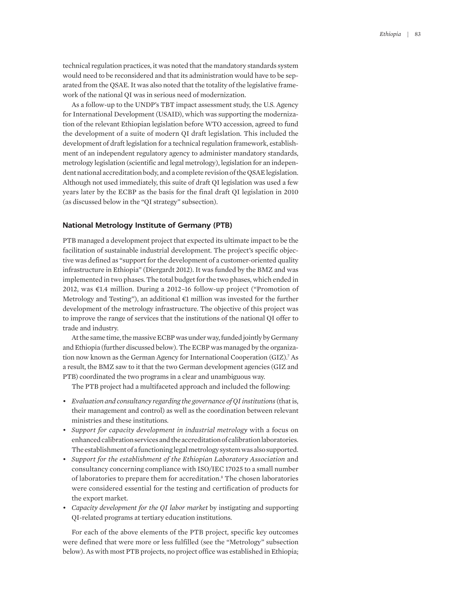technical regulation practices, it was noted that the mandatory standards system would need to be reconsidered and that its administration would have to be separated from the QSAE. It was also noted that the totality of the legislative framework of the national QI was in serious need of modernization.

As a follow-up to the UNDP's TBT impact assessment study, the U.S. Agency for International Development (USAID), which was supporting the modernization of the relevant Ethiopian legislation before WTO accession, agreed to fund the development of a suite of modern QI draft legislation. This included the development of draft legislation for a technical regulation framework, establishment of an independent regulatory agency to administer mandatory standards, metrology legislation (scientific and legal metrology), legislation for an independent national accreditation body, and a complete revision of the QSAE legislation. Although not used immediately, this suite of draft QI legislation was used a few years later by the ECBP as the basis for the final draft QI legislation in 2010 (as discussed below in the "QI strategy" subsection).

#### **National Metrology Institute of Germany (PTB)**

PTB managed a development project that expected its ultimate impact to be the facilitation of sustainable industrial development. The project's specific objective was defined as "support for the development of a customer-oriented quality infrastructure in Ethiopia" (Diergardt 2012). It was funded by the BMZ and was implemented in two phases. The total budget for the two phases, which ended in 2012, was €1.4 million. During a 2012–16 follow-up project ("Promotion of Metrology and Testing"), an additional €1 million was invested for the further development of the metrology infrastructure. The objective of this project was to improve the range of services that the institutions of the national QI offer to trade and industry.

At the same time, the massive ECBP was under way, funded jointly by Germany and Ethiopia (further discussed below). The ECBP was managed by the organization now known as the German Agency for International Cooperation (GIZ).<sup>7</sup> As a result, the BMZ saw to it that the two German development agencies (GIZ and PTB) coordinated the two programs in a clear and unambiguous way.

The PTB project had a multifaceted approach and included the following:

- *Evaluation and consultancy regarding the governance of QI institutions* (that is, their management and control) as well as the coordination between relevant ministries and these institutions.
- *Support for capacity development in industrial metrology* with a focus on enhanced calibration services and the accreditation of calibration laboratories. The establishment of a functioning legal metrology system was also supported.
- *Support for the establishment of the Ethiopian Laboratory Association* and consultancy concerning compliance with ISO/IEC 17025 to a small number of laboratories to prepare them for accreditation.8 The chosen laboratories were considered essential for the testing and certification of products for the export market.
- *Capacity development for the QI labor market* by instigating and supporting QI-related programs at tertiary education institutions.

For each of the above elements of the PTB project, specific key outcomes were defined that were more or less fulfilled (see the "Metrology" subsection below). As with most PTB projects, no project office was established in Ethiopia;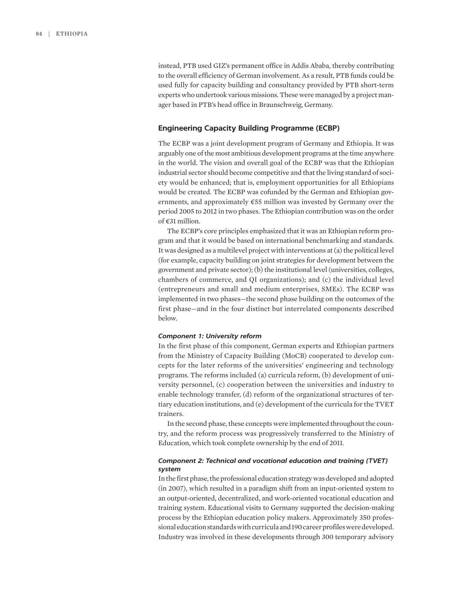instead, PTB used GIZ's permanent office in Addis Ababa, thereby contributing to the overall efficiency of German involvement. As a result, PTB funds could be used fully for capacity building and consultancy provided by PTB short-term experts who undertook various missions. These were managed by a project manager based in PTB's head office in Braunschweig, Germany.

#### **Engineering Capacity Building Programme (ECBP)**

The ECBP was a joint development program of Germany and Ethiopia. It was arguably one of the most ambitious development programs at the time anywhere in the world. The vision and overall goal of the ECBP was that the Ethiopian industrial sector should become competitive and that the living standard of society would be enhanced; that is, employment opportunities for all Ethiopians would be created. The ECBP was cofunded by the German and Ethiopian governments, and approximately €55 million was invested by Germany over the period 2005 to 2012 in two phases. The Ethiopian contribution was on the order of €31 million.

The ECBP's core principles emphasized that it was an Ethiopian reform program and that it would be based on international benchmarking and standards. It was designed as a multilevel project with interventions at (a) the political level (for example, capacity building on joint strategies for development between the government and private sector); (b) the institutional level (universities, colleges, chambers of commerce, and QI organizations); and (c) the individual level (entrepreneurs and small and medium enterprises, SMEs). The ECBP was implemented in two phases—the second phase building on the outcomes of the first phase—and in the four distinct but interrelated components described below.

#### *Component 1: University reform*

In the first phase of this component, German experts and Ethiopian partners from the Ministry of Capacity Building (MoCB) cooperated to develop concepts for the later reforms of the universities' engineering and technology programs. The reforms included (a) curricula reform, (b) development of university personnel, (c) cooperation between the universities and industry to enable technology transfer, (d) reform of the organizational structures of tertiary education institutions, and (e) development of the curricula for the TVET trainers.

In the second phase, these concepts were implemented throughout the country, and the reform process was progressively transferred to the Ministry of Education, which took complete ownership by the end of 2011.

#### *Component 2: Technical and vocational education and training (TVET) system*

In the first phase, the professional education strategy was developed and adopted (in 2007), which resulted in a paradigm shift from an input-oriented system to an output-oriented, decentralized, and work-oriented vocational education and training system. Educational visits to Germany supported the decision-making process by the Ethiopian education policy makers. Approximately 350 professional education standards with curricula and 190 career profiles were developed. Industry was involved in these developments through 300 temporary advisory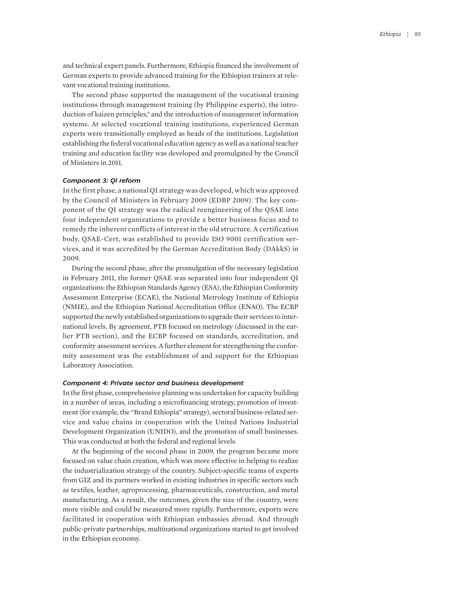and technical expert panels. Furthermore, Ethiopia financed the involvement of German experts to provide advanced training for the Ethiopian trainers at relevant vocational training institutions.

The second phase supported the management of the vocational training institutions through management training (by Philippine experts), the introduction of kaizen principles,<sup>9</sup> and the introduction of management information systems. At selected vocational training institutions, experienced German experts were transitionally employed as heads of the institutions. Legislation establishing the federal vocational education agency as well as a national teacher training and education facility was developed and promulgated by the Council of Ministers in 2011.

#### *Component 3: QI reform*

In the first phase, a national QI strategy was developed, which was approved by the Council of Ministers in February 2009 (EDBP 2009). The key component of the QI strategy was the radical reengineering of the QSAE into four independent organizations to provide a better business focus and to remedy the inherent conflicts of interest in the old structure. A certification body, QSAE-Cert, was established to provide ISO 9001 certification services, and it was accredited by the German Accreditation Body (DAkkS) in 2009.

During the second phase, after the promulgation of the necessary legislation in February 2011, the former QSAE was separated into four independent QI organizations: the Ethiopian Standards Agency (ESA), the Ethiopian Conformity Assessment Enterprise (ECAE), the National Metrology Institute of Ethiopia (NMIE), and the Ethiopian National Accreditation Office (ENAO). The ECBP supported the newly established organizations to upgrade their services to international levels. By agreement, PTB focused on metrology (discussed in the earlier PTB section), and the ECBP focused on standards, accreditation, and conformity assessment services. A further element for strengthening the conformity assessment was the establishment of and support for the Ethiopian Laboratory Association.

#### *Component 4: Private sector and business development*

In the first phase, comprehensive planning was undertaken for capacity building in a number of areas, including a microfinancing strategy, promotion of investment (for example, the "Brand Ethiopia" strategy), sectoral business-related service and value chains in cooperation with the United Nations Industrial Development Organization (UNIDO), and the promotion of small businesses. This was conducted at both the federal and regional levels.

At the beginning of the second phase in 2009, the program became more focused on value chain creation, which was more effective in helping to realize the industrialization strategy of the country. Subject-specific teams of experts from GIZ and its partners worked in existing industries in specific sectors such as textiles, leather, agroprocessing, pharmaceuticals, construction, and metal manufacturing. As a result, the outcomes, given the size of the country, were more visible and could be measured more rapidly. Furthermore, exports were facilitated in cooperation with Ethiopian embassies abroad. And through public-private partnerships, multinational organizations started to get involved in the Ethiopian economy.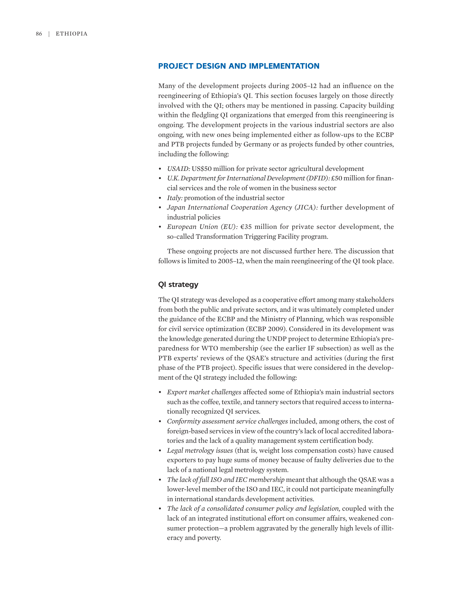#### **PROJECT DESIGN AND IMPLEMENTATION**

Many of the development projects during 2005–12 had an influence on the reengineering of Ethiopia's QI. This section focuses largely on those directly involved with the QI; others may be mentioned in passing. Capacity building within the fledgling QI organizations that emerged from this reengineering is ongoing. The development projects in the various industrial sectors are also ongoing, with new ones being implemented either as follow-ups to the ECBP and PTB projects funded by Germany or as projects funded by other countries, including the following:

- *USAID:* US\$50 million for private sector agricultural development
- *U.K. Department for International Development (DFID):* £50 million for financial services and the role of women in the business sector
- *Italy:* promotion of the industrial sector
- *Japan International Cooperation Agency (JICA):* further development of industrial policies
- *European Union (EU):* €35 million for private sector development, the so-called Transformation Triggering Facility program.

These ongoing projects are not discussed further here. The discussion that follows is limited to 2005–12, when the main reengineering of the QI took place.

#### **QI strategy**

The QI strategy was developed as a cooperative effort among many stakeholders from both the public and private sectors, and it was ultimately completed under the guidance of the ECBP and the Ministry of Planning, which was responsible for civil service optimization (ECBP 2009). Considered in its development was the knowledge generated during the UNDP project to determine Ethiopia's preparedness for WTO membership (see the earlier IF subsection) as well as the PTB experts' reviews of the QSAE's structure and activities (during the first phase of the PTB project). Specific issues that were considered in the development of the QI strategy included the following:

- *Export market challenges* affected some of Ethiopia's main industrial sectors such as the coffee, textile, and tannery sectors that required access to internationally recognized QI services.
- *Conformity assessment service challenges* included, among others, the cost of foreign-based services in view of the country's lack of local accredited laboratories and the lack of a quality management system certification body.
- *Legal metrology issues* (that is, weight loss compensation costs) have caused exporters to pay huge sums of money because of faulty deliveries due to the lack of a national legal metrology system.
- *The lack of full ISO and IEC membership* meant that although the QSAE was a lower-level member of the ISO and IEC, it could not participate meaningfully in international standards development activities.
- *The lack of a consolidated consumer policy and legislation,* coupled with the lack of an integrated institutional effort on consumer affairs, weakened consumer protection—a problem aggravated by the generally high levels of illiteracy and poverty.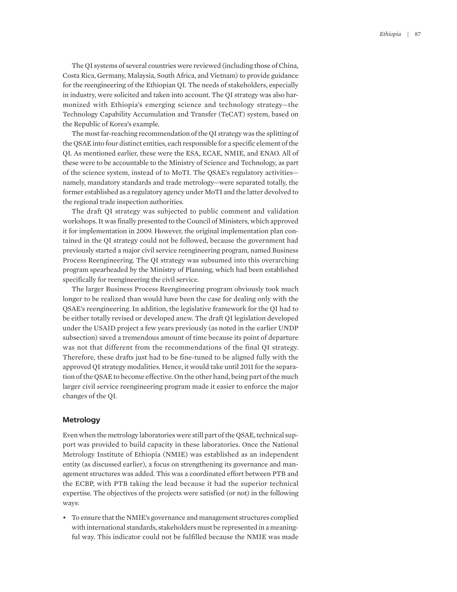The QI systems of several countries were reviewed (including those of China, Costa Rica, Germany, Malaysia, South Africa, and Vietnam) to provide guidance for the reengineering of the Ethiopian QI. The needs of stakeholders, especially in industry, were solicited and taken into account. The QI strategy was also harmonized with Ethiopia's emerging science and technology strategy—the Technology Capability Accumulation and Transfer (TeCAT) system, based on the Republic of Korea's example.

The most far-reaching recommendation of the QI strategy was the splitting of the QSAE into four distinct entities, each responsible for a specific element of the QI. As mentioned earlier, these were the ESA, ECAE, NMIE, and ENAO. All of these were to be accountable to the Ministry of Science and Technology, as part of the science system, instead of to MoTI. The QSAE's regulatory activities namely, mandatory standards and trade metrology—were separated totally, the former established as a regulatory agency under MoTI and the latter devolved to the regional trade inspection authorities.

The draft QI strategy was subjected to public comment and validation workshops. It was finally presented to the Council of Ministers, which approved it for implementation in 2009. However, the original implementation plan contained in the QI strategy could not be followed, because the government had previously started a major civil service reengineering program, named Business Process Reengineering. The QI strategy was subsumed into this overarching program spearheaded by the Ministry of Planning, which had been established specifically for reengineering the civil service.

The larger Business Process Reengineering program obviously took much longer to be realized than would have been the case for dealing only with the QSAE's reengineering. In addition, the legislative framework for the QI had to be either totally revised or developed anew. The draft QI legislation developed under the USAID project a few years previously (as noted in the earlier UNDP subsection) saved a tremendous amount of time because its point of departure was not that different from the recommendations of the final QI strategy. Therefore, these drafts just had to be fine-tuned to be aligned fully with the approved QI strategy modalities. Hence, it would take until 2011 for the separation of the QSAE to become effective. On the other hand, being part of the much larger civil service reengineering program made it easier to enforce the major changes of the QI.

#### **Metrology**

Even when the metrology laboratories were still part of the QSAE, technical support was provided to build capacity in these laboratories. Once the National Metrology Institute of Ethiopia (NMIE) was established as an independent entity (as discussed earlier), a focus on strengthening its governance and management structures was added. This was a coordinated effort between PTB and the ECBP, with PTB taking the lead because it had the superior technical expertise. The objectives of the projects were satisfied (or not) in the following ways:

• To ensure that the NMIE's governance and management structures complied with international standards, stakeholders must be represented in a meaningful way. This indicator could not be fulfilled because the NMIE was made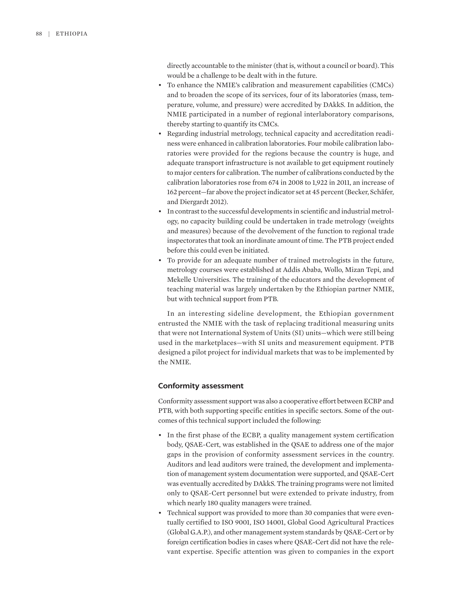directly accountable to the minister (that is, without a council or board). This would be a challenge to be dealt with in the future.

- To enhance the NMIE's calibration and measurement capabilities (CMCs) and to broaden the scope of its services, four of its laboratories (mass, temperature, volume, and pressure) were accredited by DAkkS. In addition, the NMIE participated in a number of regional interlaboratory comparisons, thereby starting to quantify its CMCs.
- Regarding industrial metrology, technical capacity and accreditation readiness were enhanced in calibration laboratories. Four mobile calibration laboratories were provided for the regions because the country is huge, and adequate transport infrastructure is not available to get equipment routinely to major centers for calibration. The number of calibrations conducted by the calibration laboratories rose from 674 in 2008 to 1,922 in 2011, an increase of 162 percent—far above the project indicator set at 45 percent (Becker, Schäfer, and Diergardt 2012).
- In contrast to the successful developments in scientific and industrial metrology, no capacity building could be undertaken in trade metrology (weights and measures) because of the devolvement of the function to regional trade inspectorates that took an inordinate amount of time. The PTB project ended before this could even be initiated.
- To provide for an adequate number of trained metrologists in the future, metrology courses were established at Addis Ababa, Wollo, Mizan Tepi, and Mekelle Universities. The training of the educators and the development of teaching material was largely undertaken by the Ethiopian partner NMIE, but with technical support from PTB.

In an interesting sideline development, the Ethiopian government entrusted the NMIE with the task of replacing traditional measuring units that were not International System of Units (SI) units—which were still being used in the marketplaces—with SI units and measurement equipment. PTB designed a pilot project for individual markets that was to be implemented by the NMIE.

#### **Conformity assessment**

Conformity assessment support was also a cooperative effort between ECBP and PTB, with both supporting specific entities in specific sectors. Some of the outcomes of this technical support included the following:

- In the first phase of the ECBP, a quality management system certification body, QSAE-Cert, was established in the QSAE to address one of the major gaps in the provision of conformity assessment services in the country. Auditors and lead auditors were trained, the development and implementation of management system documentation were supported, and QSAE-Cert was eventually accredited by DAkkS. The training programs were not limited only to QSAE-Cert personnel but were extended to private industry, from which nearly 180 quality managers were trained.
- Technical support was provided to more than 30 companies that were eventually certified to ISO 9001, ISO 14001, Global Good Agricultural Practices (Global G.A.P.), and other management system standards by QSAE-Cert or by foreign certification bodies in cases where QSAE-Cert did not have the relevant expertise. Specific attention was given to companies in the export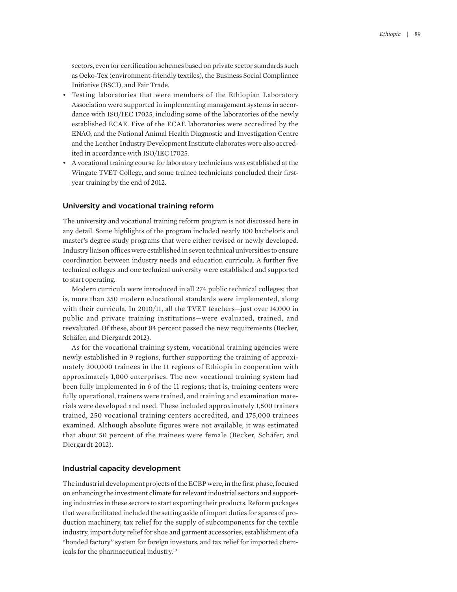sectors, even for certification schemes based on private sector standards such as Oeko-Tex (environment-friendly textiles), the Business Social Compliance Initiative (BSCI), and Fair Trade.

- Testing laboratories that were members of the Ethiopian Laboratory Association were supported in implementing management systems in accordance with ISO/IEC 17025, including some of the laboratories of the newly established ECAE. Five of the ECAE laboratories were accredited by the ENAO, and the National Animal Health Diagnostic and Investigation Centre and the Leather Industry Development Institute elaborates were also accredited in accordance with ISO/IEC 17025.
- A vocational training course for laboratory technicians was established at the Wingate TVET College, and some trainee technicians concluded their firstyear training by the end of 2012.

#### **University and vocational training reform**

The university and vocational training reform program is not discussed here in any detail. Some highlights of the program included nearly 100 bachelor's and master's degree study programs that were either revised or newly developed. Industry liaison offices were established in seven technical universities to ensure coordination between industry needs and education curricula. A further five technical colleges and one technical university were established and supported to start operating.

Modern curricula were introduced in all 274 public technical colleges; that is, more than 350 modern educational standards were implemented, along with their curricula. In 2010/11, all the TVET teachers—just over 14,000 in public and private training institutions—were evaluated, trained, and reevaluated. Of these, about 84 percent passed the new requirements (Becker, Schäfer, and Diergardt 2012).

As for the vocational training system, vocational training agencies were newly established in 9 regions, further supporting the training of approximately 300,000 trainees in the 11 regions of Ethiopia in cooperation with approximately 1,000 enterprises. The new vocational training system had been fully implemented in 6 of the 11 regions; that is, training centers were fully operational, trainers were trained, and training and examination materials were developed and used. These included approximately 1,500 trainers trained, 250 vocational training centers accredited, and 175,000 trainees examined. Although absolute figures were not available, it was estimated that about 50 percent of the trainees were female (Becker, Schäfer, and Diergardt 2012).

#### **Industrial capacity development**

The industrial development projects of the ECBP were, in the first phase, focused on enhancing the investment climate for relevant industrial sectors and supporting industries in these sectors to start exporting their products. Reform packages that were facilitated included the setting aside of import duties for spares of production machinery, tax relief for the supply of subcomponents for the textile industry, import duty relief for shoe and garment accessories, establishment of a "bonded factory" system for foreign investors, and tax relief for imported chemicals for the pharmaceutical industry.10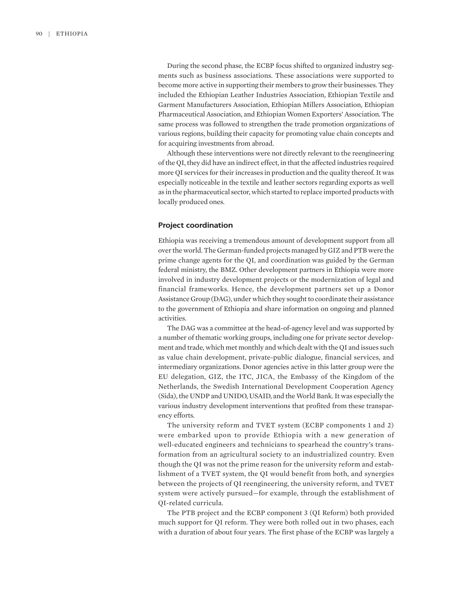During the second phase, the ECBP focus shifted to organized industry segments such as business associations. These associations were supported to become more active in supporting their members to grow their businesses. They included the Ethiopian Leather Industries Association, Ethiopian Textile and Garment Manufacturers Association, Ethiopian Millers Association, Ethiopian Pharmaceutical Association, and Ethiopian Women Exporters' Association. The same process was followed to strengthen the trade promotion organizations of various regions, building their capacity for promoting value chain concepts and for acquiring investments from abroad.

Although these interventions were not directly relevant to the reengineering of the QI, they did have an indirect effect, in that the affected industries required more QI services for their increases in production and the quality thereof. It was especially noticeable in the textile and leather sectors regarding exports as well as in the pharmaceutical sector, which started to replace imported products with locally produced ones.

#### **Project coordination**

Ethiopia was receiving a tremendous amount of development support from all over the world. The German-funded projects managed by GIZ and PTB were the prime change agents for the QI, and coordination was guided by the German federal ministry, the BMZ. Other development partners in Ethiopia were more involved in industry development projects or the modernization of legal and financial frameworks. Hence, the development partners set up a Donor Assistance Group (DAG), under which they sought to coordinate their assistance to the government of Ethiopia and share information on ongoing and planned activities.

The DAG was a committee at the head-of-agency level and was supported by a number of thematic working groups, including one for private sector development and trade, which met monthly and which dealt with the QI and issues such as value chain development, private-public dialogue, financial services, and intermediary organizations. Donor agencies active in this latter group were the EU delegation, GIZ, the ITC, JICA, the Embassy of the Kingdom of the Netherlands, the Swedish International Development Cooperation Agency (Sida), the UNDP and UNIDO, USAID, and the World Bank. It was especially the various industry development interventions that profited from these transparency efforts.

The university reform and TVET system (ECBP components 1 and 2) were embarked upon to provide Ethiopia with a new generation of well-educated engineers and technicians to spearhead the country's transformation from an agricultural society to an industrialized country. Even though the QI was not the prime reason for the university reform and establishment of a TVET system, the QI would benefit from both, and synergies between the projects of QI reengineering, the university reform, and TVET system were actively pursued—for example, through the establishment of QI-related curricula.

The PTB project and the ECBP component 3 (QI Reform) both provided much support for QI reform. They were both rolled out in two phases, each with a duration of about four years. The first phase of the ECBP was largely a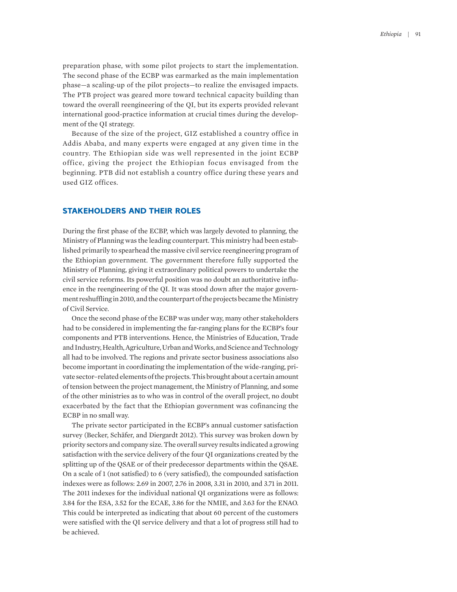preparation phase, with some pilot projects to start the implementation. The second phase of the ECBP was earmarked as the main implementation phase—a scaling-up of the pilot projects—to realize the envisaged impacts. The PTB project was geared more toward technical capacity building than toward the overall reengineering of the QI, but its experts provided relevant international good-practice information at crucial times during the development of the QI strategy.

Because of the size of the project, GIZ established a country office in Addis Ababa, and many experts were engaged at any given time in the country. The Ethiopian side was well represented in the joint ECBP office, giving the project the Ethiopian focus envisaged from the beginning. PTB did not establish a country office during these years and used GIZ offices.

#### **STAKEHOLDERS AND THEIR ROLES**

During the first phase of the ECBP, which was largely devoted to planning, the Ministry of Planning was the leading counterpart. This ministry had been established primarily to spearhead the massive civil service reengineering program of the Ethiopian government. The government therefore fully supported the Ministry of Planning, giving it extraordinary political powers to undertake the civil service reforms. Its powerful position was no doubt an authoritative influence in the reengineering of the QI. It was stood down after the major government reshuffling in 2010, and the counterpart of the projects became the Ministry of Civil Service.

Once the second phase of the ECBP was under way, many other stakeholders had to be considered in implementing the far-ranging plans for the ECBP's four components and PTB interventions. Hence, the Ministries of Education, Trade and Industry, Health, Agriculture, Urban and Works, and Science and Technology all had to be involved. The regions and private sector business associations also become important in coordinating the implementation of the wide-ranging, private sector–related elements of the projects. This brought about a certain amount of tension between the project management, the Ministry of Planning, and some of the other ministries as to who was in control of the overall project, no doubt exacerbated by the fact that the Ethiopian government was cofinancing the ECBP in no small way.

The private sector participated in the ECBP's annual customer satisfaction survey (Becker, Schäfer, and Diergardt 2012). This survey was broken down by priority sectors and company size. The overall survey results indicated a growing satisfaction with the service delivery of the four QI organizations created by the splitting up of the QSAE or of their predecessor departments within the QSAE. On a scale of 1 (not satisfied) to 6 (very satisfied), the compounded satisfaction indexes were as follows: 2.69 in 2007, 2.76 in 2008, 3.31 in 2010, and 3.71 in 2011. The 2011 indexes for the individual national QI organizations were as follows: 3.84 for the ESA, 3.52 for the ECAE, 3.86 for the NMIE, and 3.63 for the ENAO. This could be interpreted as indicating that about 60 percent of the customers were satisfied with the QI service delivery and that a lot of progress still had to be achieved.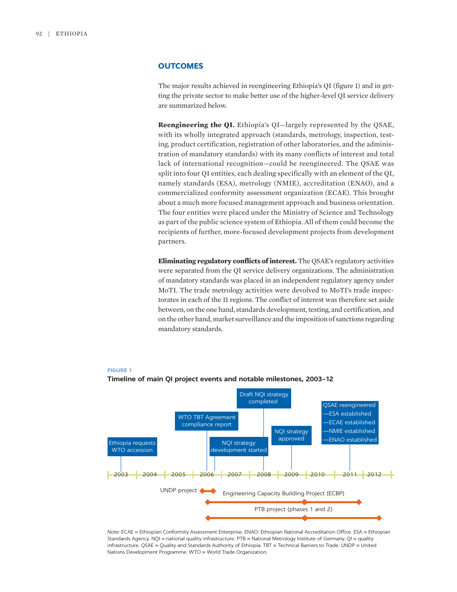#### **OUTCOMES**

The major results achieved in reengineering Ethiopia's QI (figure 1) and in getting the private sector to make better use of the higher-level QI service delivery are summarized below.

**Reengineering the QI.** Ethiopia's QI—largely represented by the QSAE, with its wholly integrated approach (standards, metrology, inspection, testing, product certification, registration of other laboratories, and the administration of mandatory standards) with its many conflicts of interest and total lack of international recognition—could be reengineered. The QSAE was split into four QI entities, each dealing specifically with an element of the QI, namely standards (ESA), metrology (NMIE), accreditation (ENAO), and a commercialized conformity assessment organization (ECAE). This brought about a much more focused management approach and business orientation. The four entities were placed under the Ministry of Science and Technology as part of the public science system of Ethiopia. All of them could become the recipients of further, more-focused development projects from development partners.

**Eliminating regulatory conflicts of interest.** The QSAE's regulatory activities were separated from the QI service delivery organizations. The administration of mandatory standards was placed in an independent regulatory agency under MoTI. The trade metrology activities were devolved to MoTI's trade inspectorates in each of the 11 regions. The conflict of interest was therefore set aside between, on the one hand, standards development, testing, and certification, and on the other hand, market surveillance and the imposition of sanctions regarding mandatory standards.



#### **FIGURE 1**



*Note:* ECAE = Ethiopian Conformity Assessment Enterprise. ENAO: Ethiopian National Accreditation Office. ESA = Ethiopian Standards Agency. NQI = national quality infrastructure. PTB = National Metrology Institute of Germany. QI = quality infrastructure. QSAE = Quality and Standards Authority of Ethiopia. TBT = Technical Barriers to Trade. UNDP = United Nations Development Programme. WTO = World Trade Organization.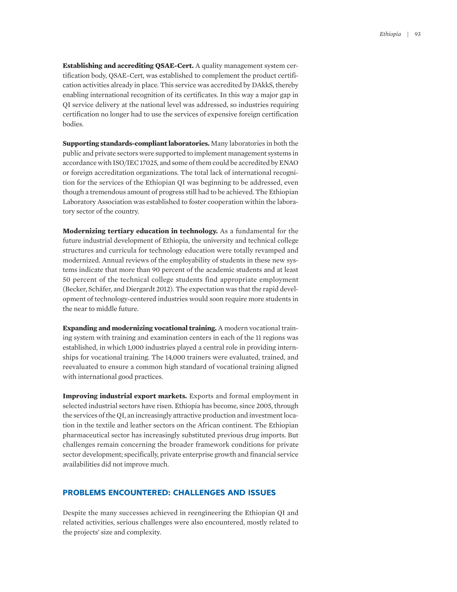**Establishing and accrediting QSAE-Cert.** A quality management system certification body, QSAE-Cert, was established to complement the product certification activities already in place. This service was accredited by DAkkS, thereby enabling international recognition of its certificates. In this way a major gap in QI service delivery at the national level was addressed, so industries requiring certification no longer had to use the services of expensive foreign certification bodies.

**Supporting standards-compliant laboratories.** Many laboratories in both the public and private sectors were supported to implement management systems in accordance with ISO/IEC 17025, and some of them could be accredited by ENAO or foreign accreditation organizations. The total lack of international recognition for the services of the Ethiopian QI was beginning to be addressed, even though a tremendous amount of progress still had to be achieved. The Ethiopian Laboratory Association was established to foster cooperation within the laboratory sector of the country.

**Modernizing tertiary education in technology.** As a fundamental for the future industrial development of Ethiopia, the university and technical college structures and curricula for technology education were totally revamped and modernized. Annual reviews of the employability of students in these new systems indicate that more than 90 percent of the academic students and at least 50 percent of the technical college students find appropriate employment (Becker, Schäfer, and Diergardt 2012). The expectation was that the rapid development of technology-centered industries would soon require more students in the near to middle future.

**Expanding and modernizing vocational training.** A modern vocational training system with training and examination centers in each of the 11 regions was established, in which 1,000 industries played a central role in providing internships for vocational training. The 14,000 trainers were evaluated, trained, and reevaluated to ensure a common high standard of vocational training aligned with international good practices.

**Improving industrial export markets.** Exports and formal employment in selected industrial sectors have risen. Ethiopia has become, since 2005, through the services of the QI, an increasingly attractive production and investment location in the textile and leather sectors on the African continent. The Ethiopian pharmaceutical sector has increasingly substituted previous drug imports. But challenges remain concerning the broader framework conditions for private sector development; specifically, private enterprise growth and financial service availabilities did not improve much.

#### **PROBLEMS ENCOUNTERED: CHALLENGES AND ISSUES**

Despite the many successes achieved in reengineering the Ethiopian QI and related activities, serious challenges were also encountered, mostly related to the projects' size and complexity.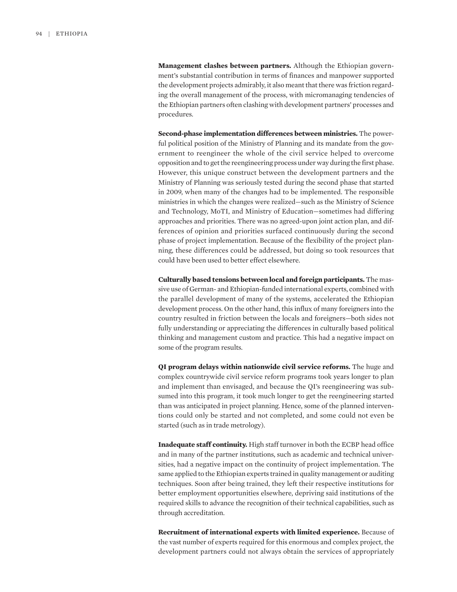**Management clashes between partners.** Although the Ethiopian government's substantial contribution in terms of finances and manpower supported the development projects admirably, it also meant that there was friction regarding the overall management of the process, with micromanaging tendencies of the Ethiopian partners often clashing with development partners' processes and procedures.

**Second-phase implementation differences between ministries.** The powerful political position of the Ministry of Planning and its mandate from the government to reengineer the whole of the civil service helped to overcome opposition and to get the reengineering process under way during the first phase. However, this unique construct between the development partners and the Ministry of Planning was seriously tested during the second phase that started in 2009, when many of the changes had to be implemented. The responsible ministries in which the changes were realized—such as the Ministry of Science and Technology, MoTI, and Ministry of Education—sometimes had differing approaches and priorities. There was no agreed-upon joint action plan, and differences of opinion and priorities surfaced continuously during the second phase of project implementation. Because of the flexibility of the project planning, these differences could be addressed, but doing so took resources that could have been used to better effect elsewhere.

**Culturally based tensions between local and foreign participants.** The massive use of German- and Ethiopian-funded international experts, combined with the parallel development of many of the systems, accelerated the Ethiopian development process. On the other hand, this influx of many foreigners into the country resulted in friction between the locals and foreigners—both sides not fully understanding or appreciating the differences in culturally based political thinking and management custom and practice. This had a negative impact on some of the program results.

**QI program delays within nationwide civil service reforms.** The huge and complex countrywide civil service reform programs took years longer to plan and implement than envisaged, and because the QI's reengineering was subsumed into this program, it took much longer to get the reengineering started than was anticipated in project planning. Hence, some of the planned interventions could only be started and not completed, and some could not even be started (such as in trade metrology).

**Inadequate staff continuity.** High staff turnover in both the ECBP head office and in many of the partner institutions, such as academic and technical universities, had a negative impact on the continuity of project implementation. The same applied to the Ethiopian experts trained in quality management or auditing techniques. Soon after being trained, they left their respective institutions for better employment opportunities elsewhere, depriving said institutions of the required skills to advance the recognition of their technical capabilities, such as through accreditation.

**Recruitment of international experts with limited experience.** Because of the vast number of experts required for this enormous and complex project, the development partners could not always obtain the services of appropriately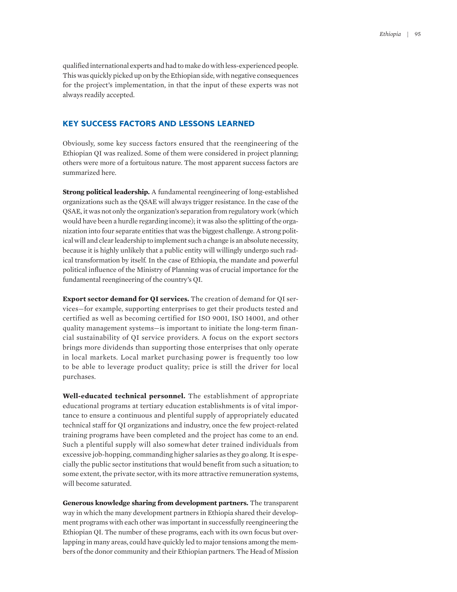qualified international experts and had to make do with less-experienced people. This was quickly picked up on by the Ethiopian side, with negative consequences for the project's implementation, in that the input of these experts was not always readily accepted.

#### **KEY SUCCESS FACTORS AND LESSONS LEARNED**

Obviously, some key success factors ensured that the reengineering of the Ethiopian QI was realized. Some of them were considered in project planning; others were more of a fortuitous nature. The most apparent success factors are summarized here.

**Strong political leadership.** A fundamental reengineering of long-established organizations such as the QSAE will always trigger resistance. In the case of the QSAE, it was not only the organization's separation from regulatory work (which would have been a hurdle regarding income); it was also the splitting of the organization into four separate entities that was the biggest challenge. A strong political will and clear leadership to implement such a change is an absolute necessity, because it is highly unlikely that a public entity will willingly undergo such radical transformation by itself. In the case of Ethiopia, the mandate and powerful political influence of the Ministry of Planning was of crucial importance for the fundamental reengineering of the country's QI.

**Export sector demand for QI services.** The creation of demand for QI services—for example, supporting enterprises to get their products tested and certified as well as becoming certified for ISO 9001, ISO 14001, and other quality management systems—is important to initiate the long-term financial sustainability of QI service providers. A focus on the export sectors brings more dividends than supporting those enterprises that only operate in local markets. Local market purchasing power is frequently too low to be able to leverage product quality; price is still the driver for local purchases.

**Well-educated technical personnel.** The establishment of appropriate educational programs at tertiary education establishments is of vital importance to ensure a continuous and plentiful supply of appropriately educated technical staff for QI organizations and industry, once the few project-related training programs have been completed and the project has come to an end. Such a plentiful supply will also somewhat deter trained individuals from excessive job-hopping, commanding higher salaries as they go along. It is especially the public sector institutions that would benefit from such a situation; to some extent, the private sector, with its more attractive remuneration systems, will become saturated.

**Generous knowledge sharing from development partners.** The transparent way in which the many development partners in Ethiopia shared their development programs with each other was important in successfully reengineering the Ethiopian QI. The number of these programs, each with its own focus but overlapping in many areas, could have quickly led to major tensions among the members of the donor community and their Ethiopian partners. The Head of Mission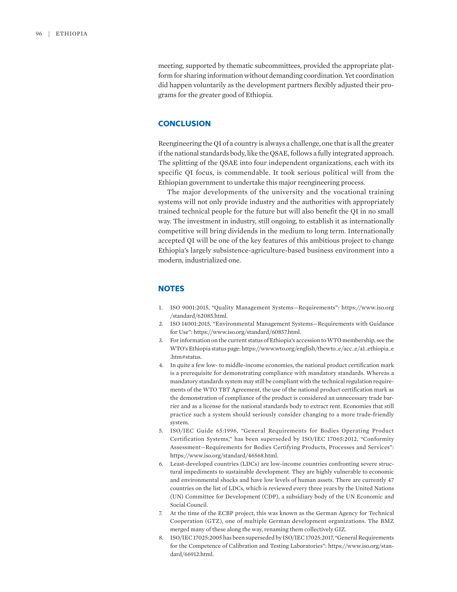meeting, supported by thematic subcommittees, provided the appropriate platform for sharing information without demanding coordination. Yet coordination did happen voluntarily as the development partners flexibly adjusted their programs for the greater good of Ethiopia.

#### **CONCLUSION**

Reengineering the QI of a country is always a challenge, one that is all the greater if the national standards body, like the QSAE, follows a fully integrated approach. The splitting of the QSAE into four independent organizations, each with its specific QI focus, is commendable. It took serious political will from the Ethiopian government to undertake this major reengineering process.

The major developments of the university and the vocational training systems will not only provide industry and the authorities with appropriately trained technical people for the future but will also benefit the QI in no small way. The investment in industry, still ongoing, to establish it as internationally competitive will bring dividends in the medium to long term. Internationally accepted QI will be one of the key features of this ambitious project to change Ethiopia's largely subsistence-agriculture-based business environment into a modern, industrialized one.

#### **NOTES**

- 1. ISO 9001:2015, "Quality Management Systems—Requirements": https://www.iso.org /standard/62085.html.
- 2. ISO 14001:2015, "Environmental Management Systems—Requirements with Guidance for Use": https://www.iso.org/standard/60857.html.
- 3. For information on the current status of Ethiopia's accession to WTO membership, see the WTO's Ethiopia status page: https://www.wto.org/english/thewto\_e/acc\_e/a1\_ethiopia\_e .htm#status.
- 4. In quite a few low- to middle-income economies, the national product certification mark is a prerequisite for demonstrating compliance with mandatory standards. Whereas a mandatory standards system may still be compliant with the technical regulation requirements of the WTO TBT Agreement, the use of the national product certification mark as the demonstration of compliance of the product is considered an unnecessary trade barrier and as a license for the national standards body to extract rent. Economies that still practice such a system should seriously consider changing to a more trade-friendly system.
- 5. ISO/IEC Guide 65:1996, "General Requirements for Bodies Operating Product Certification Systems," has been superseded by ISO/IEC 17065:2012, "Conformity Assessment—Requirements for Bodies Certifying Products, Processes and Services": https://www.iso.org/standard/46568.html.
- 6. Least-developed countries (LDCs) are low-income countries confronting severe structural impediments to sustainable development. They are highly vulnerable to economic and environmental shocks and have low levels of human assets. There are currently 47 countries on the list of LDCs, which is reviewed every three years by the United Nations (UN) Committee for Development (CDP), a subsidiary body of the UN Economic and Social Council.
- 7. At the time of the ECBP project, this was known as the German Agency for Technical Cooperation (GTZ), one of multiple German development organizations. The BMZ merged many of these along the way, renaming them collectively GIZ.
- 8. ISO/IEC 17025:2005 has been superseded by ISO/IEC 17025:2017, "General Requirements for the Competence of Calibration and Testing Laboratories": https://www.iso.org/standard/66912.html.